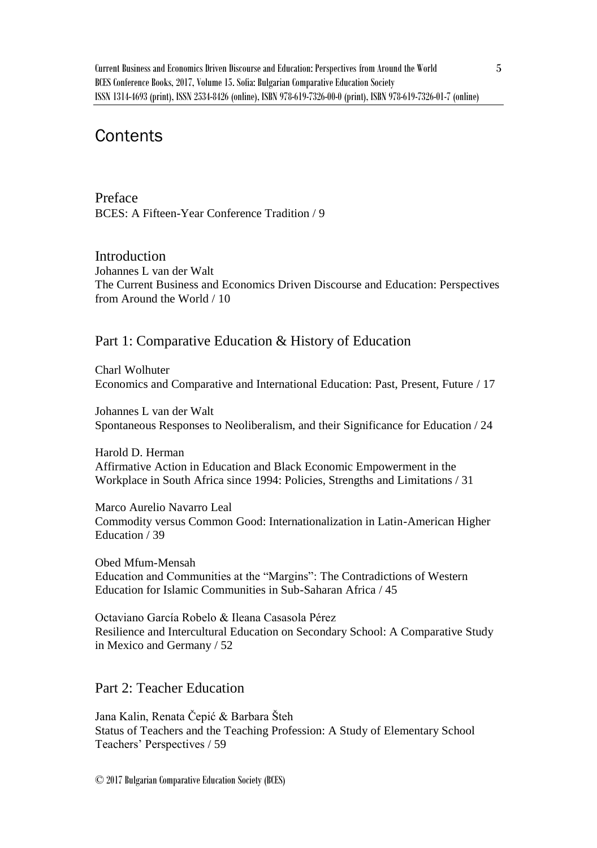# **Contents**

Preface BCES: A Fifteen-Year Conference Tradition / 9

Introduction Johannes L van der Walt The Current Business and Economics Driven Discourse and Education: Perspectives from Around the World / 10

## Part 1: Comparative Education & History of Education

Charl Wolhuter Economics and Comparative and International Education: Past, Present, Future / 17

Johannes L van der Walt Spontaneous Responses to Neoliberalism, and their Significance for Education / 24

Harold D. Herman Affirmative Action in Education and Black Economic Empowerment in the Workplace in South Africa since 1994: Policies, Strengths and Limitations / 31

Marco Aurelio Navarro Leal Commodity versus Common Good: Internationalization in Latin-American Higher Education / 39

Obed Mfum-Mensah Education and Communities at the "Margins": The Contradictions of Western Education for Islamic Communities in Sub-Saharan Africa / 45

Octaviano García Robelo & Ileana Casasola Pérez Resilience and Intercultural Education on Secondary School: A Comparative Study in Mexico and Germany / 52

## Part 2: Teacher Education

Jana Kalin, Renata Čepić & Barbara Šteh Status of Teachers and the Teaching Profession: A Study of Elementary School Teachers' Perspectives / 59

© 2017 Bulgarian Comparative Education Society (BCES)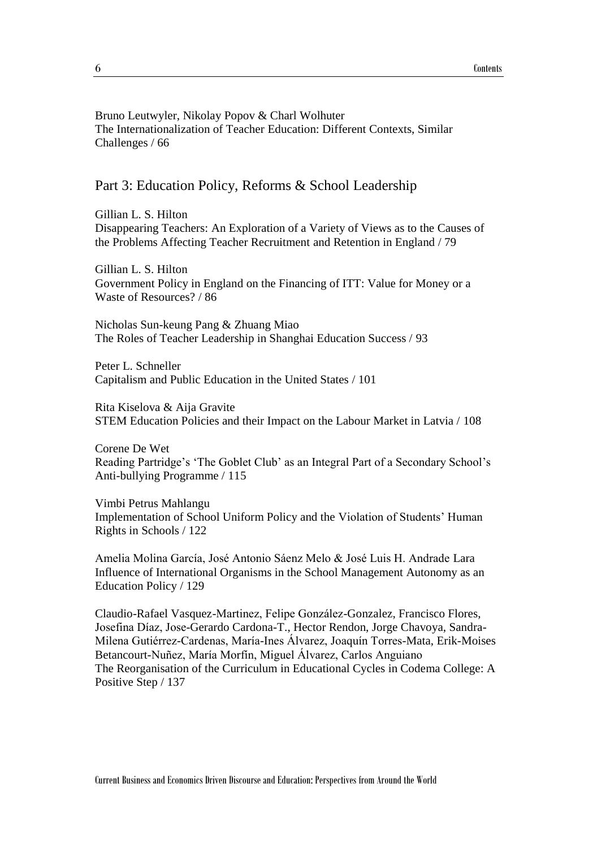#### Bruno Leutwyler, Nikolay Popov & Charl Wolhuter The Internationalization of Teacher Education: Different Contexts, Similar Challenges / 66

#### Part 3: Education Policy, Reforms & School Leadership

Gillian L. S. Hilton Disappearing Teachers: An Exploration of a Variety of Views as to the Causes of the Problems Affecting Teacher Recruitment and Retention in England / 79

Gillian L. S. Hilton Government Policy in England on the Financing of ITT: Value for Money or a Waste of Resources? / 86

Nicholas Sun-keung Pang & Zhuang Miao The Roles of Teacher Leadership in Shanghai Education Success / 93

Peter L. Schneller Capitalism and Public Education in the United States / 101

Rita Kiselova & Aija Gravite STEM Education Policies and their Impact on the Labour Market in Latvia / 108

Corene De Wet Reading Partridge's 'The Goblet Club' as an Integral Part of a Secondary School's Anti-bullying Programme / 115

Vimbi Petrus Mahlangu Implementation of School Uniform Policy and the Violation of Students' Human Rights in Schools / 122

Amelia Molina García, José Antonio Sáenz Melo & José Luis H. Andrade Lara Influence of International Organisms in the School Management Autonomy as an Education Policy / 129

Claudio-Rafael Vasquez-Martinez, Felipe González-Gonzalez, Francisco Flores, Josefina Díaz, Jose-Gerardo Cardona-T., Hector Rendon, Jorge Chavoya, Sandra-Milena Gutiérrez-Cardenas, María-Ines Álvarez, Joaquín Torres-Mata, Erik-Moises Betancourt-Nuñez, María Morfín, Miguel Álvarez, Carlos Anguiano The Reorganisation of the Curriculum in Educational Cycles in Codema College: A Positive Step / 137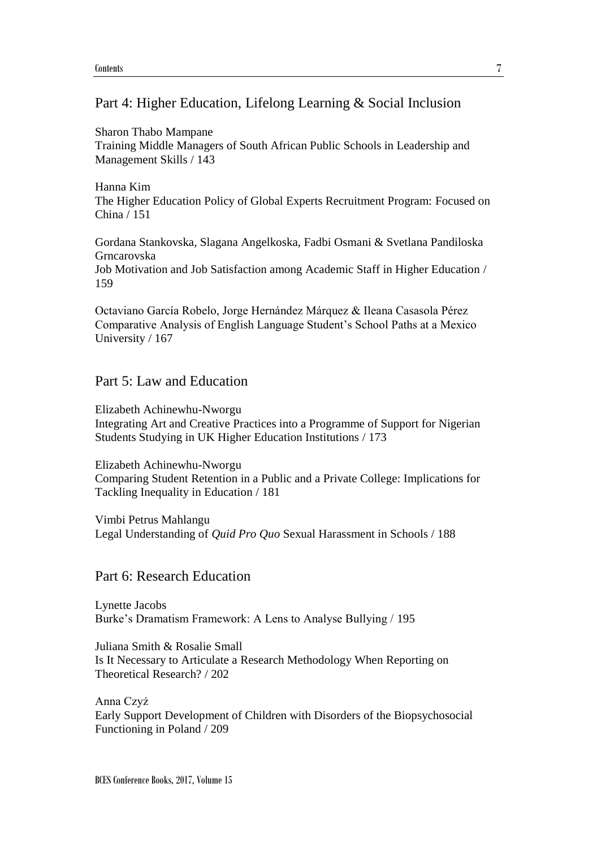#### Part 4: Higher Education, Lifelong Learning & Social Inclusion

Sharon Thabo Mampane Training Middle Managers of South African Public Schools in Leadership and Management Skills / 143

Hanna Kim The Higher Education Policy of Global Experts Recruitment Program: Focused on China / 151

Gordana Stankovska, Slagana Angelkoska, Fadbi Osmani & Svetlana Pandiloska Grncarovska Job Motivation and Job Satisfaction among Academic Staff in Higher Education / 159

Octaviano García Robelo, Jorge Hernández Márquez & Ileana Casasola Pérez Comparative Analysis of English Language Student's School Paths at a Mexico University / 167

## Part 5: Law and Education

Elizabeth Achinewhu-Nworgu Integrating Art and Creative Practices into a Programme of Support for Nigerian Students Studying in UK Higher Education Institutions / 173

Elizabeth Achinewhu-Nworgu Comparing Student Retention in a Public and a Private College: Implications for Tackling Inequality in Education / 181

Vimbi Petrus Mahlangu Legal Understanding of *Quid Pro Quo* Sexual Harassment in Schools / 188

## Part 6: Research Education

Lynette Jacobs Burke's Dramatism Framework: A Lens to Analyse Bullying / 195

Juliana Smith & Rosalie Small Is It Necessary to Articulate a Research Methodology When Reporting on Theoretical Research? / 202

Anna Czyż Early Support Development of Children with Disorders of the Biopsychosocial Functioning in Poland / 209